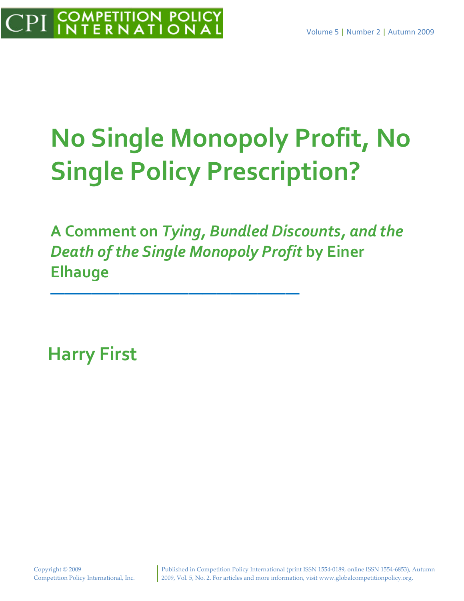# **No Single Monopoly Profit, No Single Policy Prescription?**

**A Comment on** *Tying, Bundled Discounts, and the Death of the Single Monopoly Profit* **by Einer Elhauge**

**——————————————————**

**Harry First**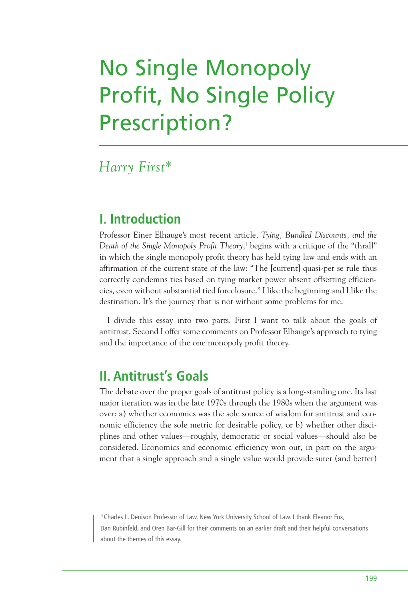# No Single Monopoly Profit, No Single Policy Prescription?

#### *Harry First\**

#### **I. Introduction**

Professor Einer Elhauge's most recent article, *Tying, Bundled Discounts, and the Death of the Single Monopoly Profit Theory*, <sup>1</sup> begins with a critique of the "thrall" in which the single monopoly profit theory has held tying law and ends with an affirmation of the current state of the law: "The [current] quasi-per se rule thus correctly condemns ties based on tying market power absent offsetting efficiencies, even without substantial tied foreclosure." I like the beginning and I like the destination. It's the journey that is not without some problems for me.

I divide this essay into two parts. First I want to talk about the goals of antitrust. Second I offer some comments on Professor Elhauge's approach to tying and the importance of the one monopoly profit theory.

## **II. Antitrust's Goals**

The debate over the proper goals of antitrust policy is a long-standing one. Its last major iteration was in the late 1970s through the 1980s when the argument was over: a) whether economics was the sole source of wisdom for antitrust and economic efficiency the sole metric for desirable policy, or b) whether other disciplines and other values—roughly, democratic or social values—should also be considered. Economics and economic efficiency won out, in part on the argument that a single approach and a single value would provide surer (and better)

\*Charles L. Denison Professor of Law, New York University School of Law. I thank Eleanor Fox, Dan Rubinfeld, and Oren Bar-Gill for their comments on an earlier draft and their helpful conversations about the themes of this essay.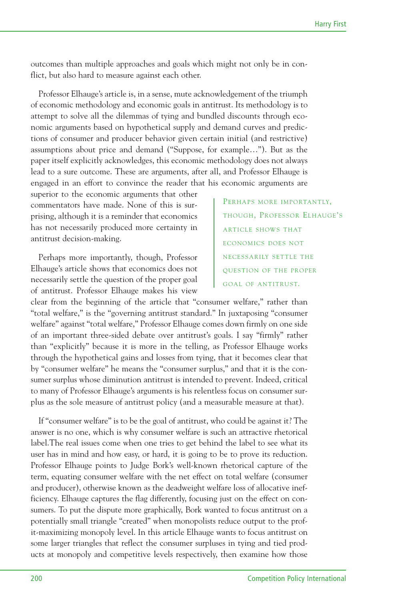outcomes than multiple approaches and goals which might not only be in conflict, but also hard to measure against each other.

Professor Elhauge's article is, in a sense, mute acknowledgement of the triumph of economic methodology and economic goals in antitrust. Its methodology is to attempt to solve all the dilemmas of tying and bundled discounts through economic arguments based on hypothetical supply and demand curves and predictions of consumer and producer behavior given certain initial (and restrictive) assumptions about price and demand ("Suppose, for example…"). But as the paper itself explicitly acknowledges, this economic methodology does not always lead to a sure outcome. These are arguments, after all, and Professor Elhauge is engaged in an effort to convince the reader that his economic arguments are

superior to the economic arguments that other commentators have made. None of this is surprising, although it is a reminder that economics has not necessarily produced more certainty in antitrust decision-making.

Perhaps more importantly, though, Professor Elhauge's article shows that economics does not necessarily settle the question of the proper goal of antitrust. Professor Elhauge makes his view

PERHAPS MORE IMPORTANTLY, THOUGH, PROFESSOR ELHAUGE'S ARTICLE SHOWS THAT ECONOMICS DOES NOT NECESSARILY SETTLE THE QUESTION OF THE PROPER GOAL OF ANTITRUST.

clear from the beginning of the article that "consumer welfare," rather than "total welfare," is the "governing antitrust standard." In juxtaposing "consumer welfare" against "total welfare," Professor Elhauge comes down firmly on one side of an important three-sided debate over antitrust's goals. I say "firmly" rather than "explicitly" because it is more in the telling, as Professor Elhauge works through the hypothetical gains and losses from tying, that it becomes clear that by "consumer welfare" he means the "consumer surplus," and that it is the consumer surplus whose diminution antitrust is intended to prevent. Indeed, critical to many of Professor Elhauge's arguments is his relentless focus on consumer surplus as the sole measure of antitrust policy (and a measurable measure at that).

If "consumer welfare" is to be the goal of antitrust, who could be against it? The answer is no one, which is why consumer welfare is such an attractive rhetorical label.The real issues come when one tries to get behind the label to see what its user has in mind and how easy, or hard, it is going to be to prove its reduction. Professor Elhauge points to Judge Bork's well-known rhetorical capture of the term, equating consumer welfare with the net effect on total welfare (consumer and producer), otherwise known as the deadweight welfare loss of allocative inefficiency. Elhauge captures the flag differently, focusing just on the effect on consumers. To put the dispute more graphically, Bork wanted to focus antitrust on a potentially small triangle "created" when monopolists reduce output to the profit-maximizing monopoly level. In this article Elhauge wants to focus antitrust on some larger triangles that reflect the consumer surpluses in tying and tied products at monopoly and competitive levels respectively, then examine how those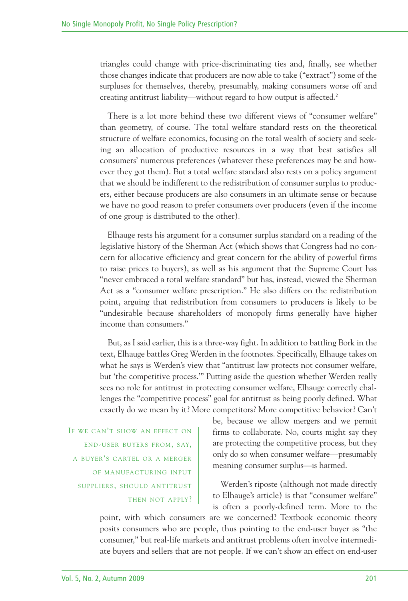triangles could change with price-discriminating ties and, finally, see whether those changes indicate that producers are now able to take ("extract") some of the surpluses for themselves, thereby, presumably, making consumers worse off and creating antitrust liability—without regard to how output is affected. 2

There is a lot more behind these two different views of "consumer welfare" than geometry, of course. The total welfare standard rests on the theoretical structure of welfare economics, focusing on the total wealth of society and seeking an allocation of productive resources in a way that best satisfies all consumers' numerous preferences (whatever these preferences may be and however they got them). But a total welfare standard also rests on a policy argument that we should be indifferent to the redistribution of consumer surplus to producers, either because producers are also consumers in an ultimate sense or because we have no good reason to prefer consumers over producers (even if the income of one group is distributed to the other).

Elhauge rests his argument for a consumer surplus standard on a reading of the legislative history of the Sherman Act (which shows that Congress had no concern for allocative efficiency and great concern for the ability of powerful firms to raise prices to buyers), as well as his argument that the Supreme Court has "never embraced a total welfare standard" but has, instead, viewed the Sherman Act as a "consumer welfare prescription." He also differs on the redistribution point, arguing that redistribution from consumers to producers is likely to be "undesirable because shareholders of monopoly firms generally have higher income than consumers."

But, as I said earlier, this is a three-way fight. In addition to battling Bork in the text, Elhauge battles Greg Werden in the footnotes. Specifically, Elhauge takes on what he says is Werden's view that "antitrust law protects not consumer welfare, but 'the competitive process.'" Putting aside the question whether Werden really sees no role for antitrust in protecting consumer welfare, Elhauge correctly challenges the "competitive process" goal for antitrust as being poorly defined. What exactly do we mean by it? More competitors? More competitive behavior? Can't

IF WE CAN'T SHOW AN EFFECT ON END-USER BUYERS FROM, SAY, A BUYER'S CARTEL OR A MERGER OF MANUFACTURING INPUT SUPPLIERS, SHOULD ANTITRUST THEN NOT APPLY? be, because we allow mergers and we permit firms to collaborate. No, courts might say they are protecting the competitive process, but they only do so when consumer welfare—presumably meaning consumer surplus—is harmed.

Werden's riposte (although not made directly to Elhauge's article) is that "consumer welfare" is often a poorly-defined term. More to the

point, with which consumers are we concerned? Textbook economic theory posits consumers who are people, thus pointing to the end-user buyer as "the consumer," but real-life markets and antitrust problems often involve intermediate buyers and sellers that are not people. If we can't show an effect on end-user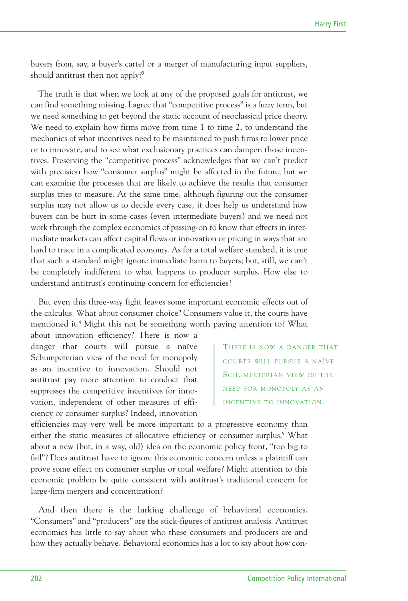buyers from, say, a buyer's cartel or a merger of manufacturing input suppliers, should antitrust then not apply? 3

The truth is that when we look at any of the proposed goals for antitrust, we can find something missing. I agree that "competitive process" is a fuzzy term, but we need something to get beyond the static account of neoclassical price theory. We need to explain how firms move from time 1 to time 2, to understand the mechanics of what incentives need to be maintained to push firms to lower price or to innovate, and to see what exclusionary practices can dampen those incentives. Preserving the "competitive process" acknowledges that we can't predict with precision how "consumer surplus" might be affected in the future, but we can examine the processes that are likely to achieve the results that consumer surplus tries to measure. At the same time, although figuring out the consumer surplus may not allow us to decide every case, it does help us understand how buyers can be hurt in some cases (even intermediate buyers) and we need not work through the complex economics of passing-on to know that effects in intermediate markets can affect capital flows or innovation or pricing in ways that are hard to trace in a complicated economy. As for a total welfare standard, it is true that such a standard might ignore immediate harm to buyers; but, still, we can't be completely indifferent to what happens to producer surplus. How else to understand antitrust's continuing concern for efficiencies?

But even this three-way fight leaves some important economic effects out of the calculus. What about consumer choice? Consumers value it, the courts have mentioned it. <sup>4</sup> Might this not be something worth paying attention to? What about innovation efficiency? There is now a

danger that courts will pursue a naïve Schumpeterian view of the need for monopoly as an incentive to innovation. Should not antitrust pay more attention to conduct that suppresses the competitive incentives for innovation, independent of other measures of efficiency or consumer surplus? Indeed, innovation

THERE IS NOW A DANGER THAT COURTS WILL PURSUE A NAÏVE SCHUMPETERIAN VIEW OF THE NEED FOR MONOPOLY AS AN INCENTIVE TO INNOVATION.

efficiencies may very well be more important to a progressive economy than either the static measures of allocative efficiency or consumer surplus. <sup>5</sup> What about a new (but, in a way, old) idea on the economic policy front, "too big to fail"? Does antitrust have to ignore this economic concern unless a plaintiff can prove some effect on consumer surplus or total welfare? Might attention to this economic problem be quite consistent with antitrust's traditional concern for large-firm mergers and concentration?

And then there is the lurking challenge of behavioral economics. "Consumers" and "producers" are the stick-figures of antitrust analysis. Antitrust economics has little to say about who these consumers and producers are and how they actually behave. Behavioral economics has a lot to say about how con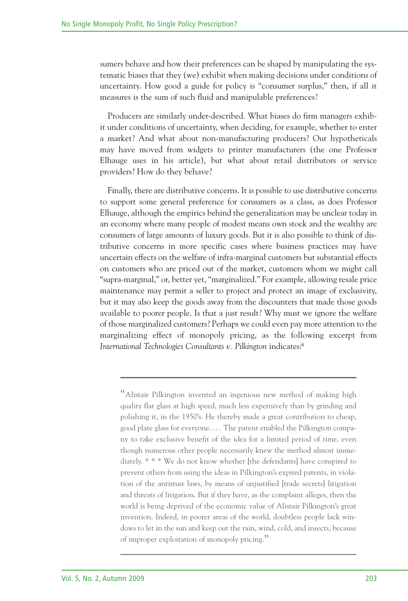sumers behave and how their preferences can be shaped by manipulating the systematic biases that they (we) exhibit when making decisions under conditions of uncertainty. How good a guide for policy is "consumer surplus," then, if all it measures is the sum of such fluid and manipulable preferences?

Producers are similarly under-described. What biases do firm managers exhibit under conditions of uncertainty, when deciding, for example, whether to enter a market? And what about non-manufacturing producers? Our hypotheticals may have moved from widgets to printer manufacturers (the one Professor Elhauge uses in his article), but what about retail distributors or service providers? How do they behave?

Finally, there are distributive concerns. It is possible to use distributive concerns to support some general preference for consumers as a class, as does Professor Elhauge, although the empirics behind the generalization may be unclear today in an economy where many people of modest means own stock and the wealthy are consumers of large amounts of luxury goods. But it is also possible to think of distributive concerns in more specific cases where business practices may have uncertain effects on the welfare of infra-marginal customers but substantial effects on customers who are priced out of the market, customers whom we might call "supra-marginal," or, better yet, "marginalized." For example, allowing resale price maintenance may permit a seller to project and protect an image of exclusivity, but it may also keep the goods away from the discounters that made those goods available to poorer people. Is that a just result? Why must we ignore the welfare of those marginalized customers? Perhaps we could even pay more attention to the marginalizing effect of monopoly pricing, as the following excerpt from *International Technologies Consultants v. Pilkington* indicates: 6

"Alistair Pilkington invented an ingenious new method of making high quality flat glass at high speed, much less expensively than by grinding and polishing it, in the 1950's. He thereby made a great contribution to cheap, good plate glass for everyone. . . . The patent enabled the Pilkington company to take exclusive benefit of the idea for a limited period of time, even though numerous other people necessarily knew the method almost immediately. \* \* \* We do not know whether [the defendants] have conspired to prevent others from using the ideas in Pilkington's expired patents, in violation of the antitrust laws, by means of unjustified [trade secrets] litigation and threats of litigation. But if they have, as the complaint alleges, then the world is being deprived of the economic value of Alistair Pilkington's great invention. Indeed, in poorer areas of the world, doubtless people lack windows to let in the sun and keep out the rain, wind, cold, and insects, because of improper exploitation of monopoly pricing."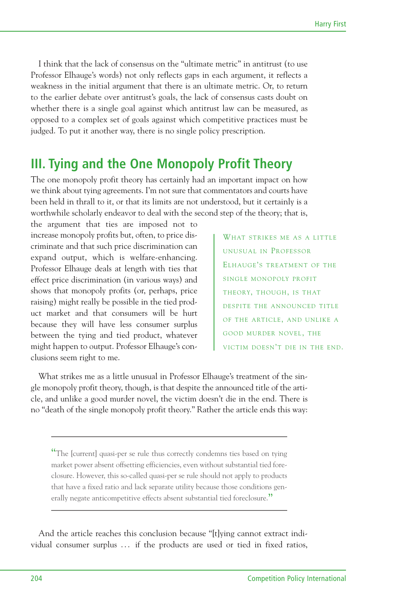I think that the lack of consensus on the "ultimate metric" in antitrust (to use Professor Elhauge's words) not only reflects gaps in each argument, it reflects a weakness in the initial argument that there is an ultimate metric. Or, to return to the earlier debate over antitrust's goals, the lack of consensus casts doubt on whether there is a single goal against which antitrust law can be measured, as opposed to a complex set of goals against which competitive practices must be judged. To put it another way, there is no single policy prescription.

#### **III. Tying and the One Monopoly Profit Theory**

The one monopoly profit theory has certainly had an important impact on how we think about tying agreements. I'm not sure that commentators and courts have been held in thrall to it, or that its limits are not understood, but it certainly is a worthwhile scholarly endeavor to deal with the second step of the theory; that is,

the argument that ties are imposed not to increase monopoly profits but, often, to price discriminate and that such price discrimination can expand output, which is welfare-enhancing. Professor Elhauge deals at length with ties that effect price discrimination (in various ways) and shows that monopoly profits (or, perhaps, price raising) might really be possible in the tied product market and that consumers will be hurt because they will have less consumer surplus between the tying and tied product, whatever might happen to output. Professor Elhauge's conclusions seem right to me.

WHAT STRIKES ME AS A LITTLE UNUSUAL IN PROFESSOR ELHAUGE'S TREATMENT OF THE SINGLE MONOPOLY PROFIT THEORY, THOUGH, IS THAT DESPITE THE ANNOUNCED TITLE OF THE ARTICLE, AND UNLIKE A GOOD MURDER NOVEL, THE VICTIM DOESN'T DIE IN THE END.

What strikes me as a little unusual in Professor Elhauge's treatment of the single monopoly profit theory, though, is that despite the announced title of the article, and unlike a good murder novel, the victim doesn't die in the end. There is no "death of the single monopoly profit theory." Rather the article ends this way:

"The [current] quasi-per se rule thus correctly condemns ties based on tying market power absent offsetting efficiencies, even without substantial tied foreclosure. However, this so-called quasi-per se rule should not apply to products that have a fixed ratio and lack separate utility because those conditions generally negate anticompetitive effects absent substantial tied foreclosure."

And the article reaches this conclusion because "[t]ying cannot extract individual consumer surplus ... if the products are used or tied in fixed ratios,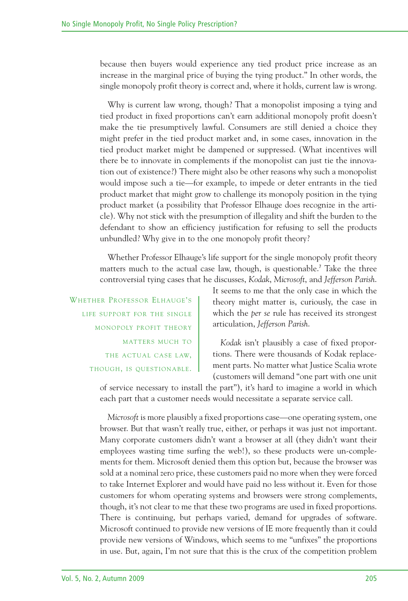because then buyers would experience any tied product price increase as an increase in the marginal price of buying the tying product." In other words, the single monopoly profit theory is correct and, where it holds, current law is wrong.

Why is current law wrong, though? That a monopolist imposing a tying and tied product in fixed proportions can't earn additional monopoly profit doesn't make the tie presumptively lawful. Consumers are still denied a choice they might prefer in the tied product market and, in some cases, innovation in the tied product market might be dampened or suppressed. (What incentives will there be to innovate in complements if the monopolist can just tie the innovation out of existence?) There might also be other reasons why such a monopolist would impose such a tie—for example, to impede or deter entrants in the tied product market that might grow to challenge its monopoly position in the tying product market (a possibility that Professor Elhauge does recognize in the article). Why not stick with the presumption of illegality and shift the burden to the defendant to show an efficiency justification for refusing to sell the products unbundled? Why give in to the one monopoly profit theory?

Whether Professor Elhauge's life support for the single monopoly profit theory matters much to the actual case law, though, is questionable. <sup>7</sup> Take the three controversial tying cases that he discusses, *Kodak*, *Microsoft*, and *Jefferson Parish*.

WHETHER PROFESSOR ELHAUGE'S LIFE SUPPORT FOR THE SINGLE MONOPOLY PROFIT THEORY MATTERS MUCH TO THE ACTUAL CASE LAW, THOUGH, IS QUESTIONABLE.

It seems to me that the only case in which the theory might matter is, curiously, the case in which the *per se* rule has received its strongest articulation, *Jefferson Parish*.

*Kodak* isn't plausibly a case of fixed proportions. There were thousands of Kodak replacement parts. No matter what Justice Scalia wrote (customers will demand "one part with one unit

of service necessary to install the part"), it's hard to imagine a world in which each part that a customer needs would necessitate a separate service call.

*Microsoft* is more plausibly a fixed proportions case—one operating system, one browser. But that wasn't really true, either, or perhaps it was just not important. Many corporate customers didn't want a browser at all (they didn't want their employees wasting time surfing the web!), so these products were un-complements for them. Microsoft denied them this option but, because the browser was sold at a nominal zero price, these customers paid no more when they were forced to take Internet Explorer and would have paid no less without it. Even for those customers for whom operating systems and browsers were strong complements, though, it's not clear to me that these two programs are used in fixed proportions. There is continuing, but perhaps varied, demand for upgrades of software. Microsoft continued to provide new versions of IE more frequently than it could provide new versions of Windows, which seems to me "unfixes" the proportions in use. But, again, I'm not sure that this is the crux of the competition problem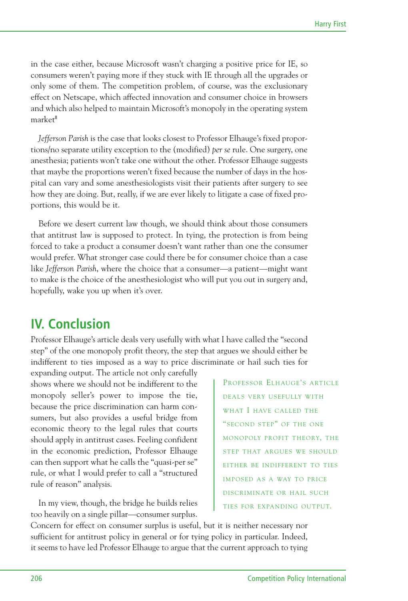in the case either, because Microsoft wasn't charging a positive price for IE, so consumers weren't paying more if they stuck with IE through all the upgrades or only some of them. The competition problem, of course, was the exclusionary effect on Netscape, which affected innovation and consumer choice in browsers and which also helped to maintain Microsoft's monopoly in the operating system market 8

*Jefferson Parish* is the case that looks closest to Professor Elhauge's fixed proportions/no separate utility exception to the (modified) *per se* rule. One surgery, one anesthesia; patients won't take one without the other. Professor Elhauge suggests that maybe the proportions weren't fixed because the number of days in the hospital can vary and some anesthesiologists visit their patients after surgery to see how they are doing. But, really, if we are ever likely to litigate a case of fixed proportions, this would be it.

Before we desert current law though, we should think about those consumers that antitrust law is supposed to protect. In tying, the protection is from being forced to take a product a consumer doesn't want rather than one the consumer would prefer. What stronger case could there be for consumer choice than a case like *Jefferson Parish*, where the choice that a consumer—a patient—might want to make is the choice of the anesthesiologist who will put you out in surgery and, hopefully, wake you up when it's over.

### **IV. Conclusion**

Professor Elhauge's article deals very usefully with what I have called the "second step" of the one monopoly profit theory, the step that argues we should either be indifferent to ties imposed as a way to price discriminate or hail such ties for

expanding output. The article not only carefully shows where we should not be indifferent to the monopoly seller's power to impose the tie, because the price discrimination can harm consumers, but also provides a useful bridge from economic theory to the legal rules that courts should apply in antitrust cases. Feeling confident in the economic prediction, Professor Elhauge can then support what he calls the "quasi-per se" rule, or what I would prefer to call a "structured rule of reason" analysis.

In my view, though, the bridge he builds relies too heavily on a single pillar—consumer surplus.

PROFESSOR ELHAUGE'S ARTICLE DEALS VERY USEFULLY WITH WHAT I HAVE CALLED THE "SECOND STEP" OF THE ONE MONOPOLY PROFIT THEORY, THE STEP THAT ARGUES WE SHOULD EITHER BE INDIFFERENT TO TIES IMPOSED AS A WAY TO PRICE DISCRIMINATE OR HAIL SUCH TIES FOR EXPANDING OUTPUT.

Concern for effect on consumer surplus is useful, but it is neither necessary nor sufficient for antitrust policy in general or for tying policy in particular. Indeed, it seems to have led Professor Elhauge to argue that the current approach to tying